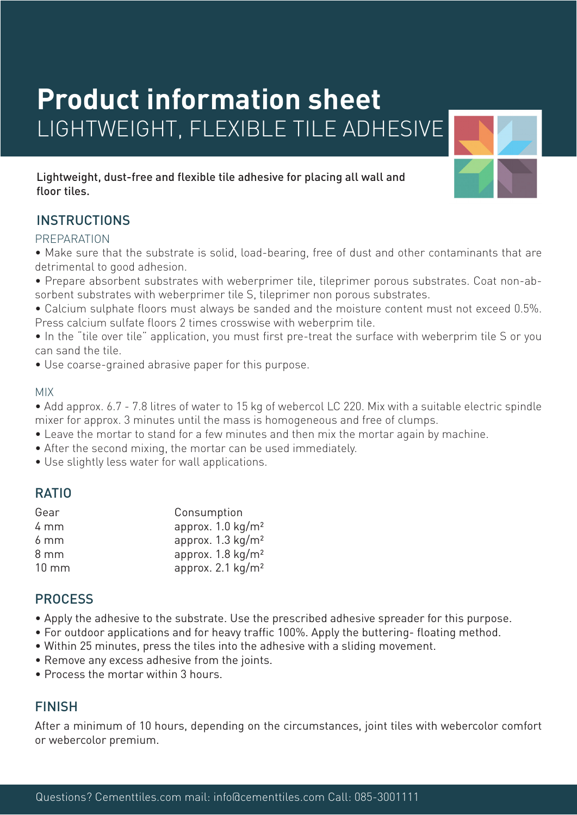# **Product information sheet** LIGHTWEIGHT, FLEXIBLE TILE ADHESIVE

Lightweight, dust-free and flexible tile adhesive for placing all wall and floor tiles.

# INSTRUCTIONS

#### PREPARATION

• Make sure that the substrate is solid, load-bearing, free of dust and other contaminants that are detrimental to good adhesion.

- Prepare absorbent substrates with weberprimer tile, tileprimer porous substrates. Coat non-absorbent substrates with weberprimer tile S, tileprimer non porous substrates.
- Calcium sulphate floors must always be sanded and the moisture content must not exceed 0.5%. Press calcium sulfate floors 2 times crosswise with weberprim tile.
- In the "tile over tile" application, you must first pre-treat the surface with weberprim tile S or you can sand the tile.

• Use coarse-grained abrasive paper for this purpose.

#### MIX

• Add approx. 6.7 - 7.8 litres of water to 15 kg of webercol LC 220. Mix with a suitable electric spindle mixer for approx. 3 minutes until the mass is homogeneous and free of clumps.

- Leave the mortar to stand for a few minutes and then mix the mortar again by machine.
- After the second mixing, the mortar can be used immediately.
- Use slightly less water for wall applications.

# RATIO

| Gear            | Consumption                  |
|-----------------|------------------------------|
| 4 mm            | approx. $1.0 \text{ kg/m}^2$ |
| $6 \text{ mm}$  | approx. $1.3 \text{ kg/m}^2$ |
| $8 \text{ mm}$  | approx. $1.8 \text{ kg/m}^2$ |
| $10 \text{ mm}$ | approx. $2.1 \text{ kg/m}^2$ |

# **PROCESS**

- Apply the adhesive to the substrate. Use the prescribed adhesive spreader for this purpose.
- For outdoor applications and for heavy traffic 100%. Apply the buttering- floating method.
- Within 25 minutes, press the tiles into the adhesive with a sliding movement.
- Remove any excess adhesive from the joints.
- Process the mortar within 3 hours.

# FINISH

After a minimum of 10 hours, depending on the circumstances, joint tiles with webercolor comfort or webercolor premium.